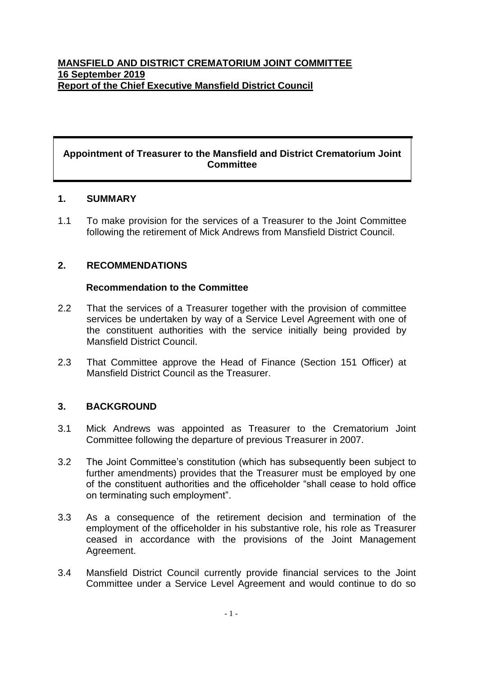### **Appointment of Treasurer to the Mansfield and District Crematorium Joint Committee**

### **1. SUMMARY**

1.1 To make provision for the services of a Treasurer to the Joint Committee following the retirement of Mick Andrews from Mansfield District Council.

### **2. RECOMMENDATIONS**

#### **Recommendation to the Committee**

- 2.2 That the services of a Treasurer together with the provision of committee services be undertaken by way of a Service Level Agreement with one of the constituent authorities with the service initially being provided by Mansfield District Council.
- 2.3 That Committee approve the Head of Finance (Section 151 Officer) at Mansfield District Council as the Treasurer.

### **3. BACKGROUND**

- 3.1 Mick Andrews was appointed as Treasurer to the Crematorium Joint Committee following the departure of previous Treasurer in 2007.
- 3.2 The Joint Committee's constitution (which has subsequently been subject to further amendments) provides that the Treasurer must be employed by one of the constituent authorities and the officeholder "shall cease to hold office on terminating such employment".
- 3.3 As a consequence of the retirement decision and termination of the employment of the officeholder in his substantive role, his role as Treasurer ceased in accordance with the provisions of the Joint Management Agreement.
- 3.4 Mansfield District Council currently provide financial services to the Joint Committee under a Service Level Agreement and would continue to do so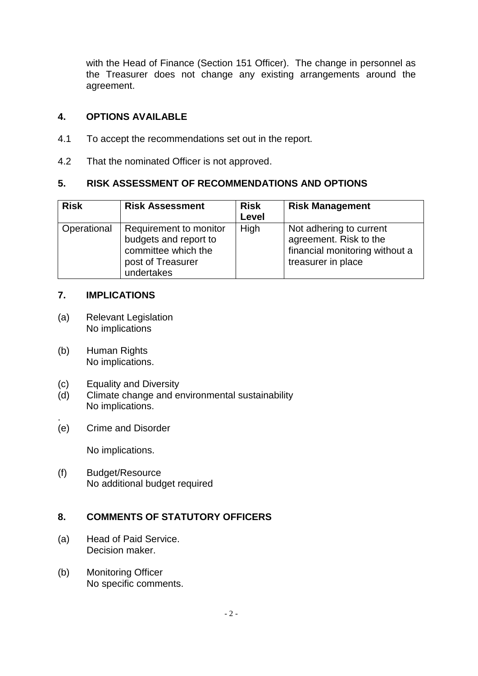with the Head of Finance (Section 151 Officer). The change in personnel as the Treasurer does not change any existing arrangements around the agreement.

## **4. OPTIONS AVAILABLE**

- 4.1 To accept the recommendations set out in the report.
- 4.2 That the nominated Officer is not approved.

### **5. RISK ASSESSMENT OF RECOMMENDATIONS AND OPTIONS**

| <b>Risk</b> | <b>Risk Assessment</b>                                                                                    | <b>Risk</b><br>Level | <b>Risk Management</b>                                                                                    |
|-------------|-----------------------------------------------------------------------------------------------------------|----------------------|-----------------------------------------------------------------------------------------------------------|
| Operational | Requirement to monitor<br>budgets and report to<br>committee which the<br>post of Treasurer<br>undertakes | High                 | Not adhering to current<br>agreement. Risk to the<br>financial monitoring without a<br>treasurer in place |

### **7. IMPLICATIONS**

- (a) Relevant Legislation No implications
- (b) Human Rights No implications.
- (c) Equality and Diversity
- (d) Climate change and environmental sustainability No implications.
- . (e) Crime and Disorder

No implications.

(f) Budget/Resource No additional budget required

# **8. COMMENTS OF STATUTORY OFFICERS**

- (a) Head of Paid Service. Decision maker.
- (b) Monitoring Officer No specific comments.